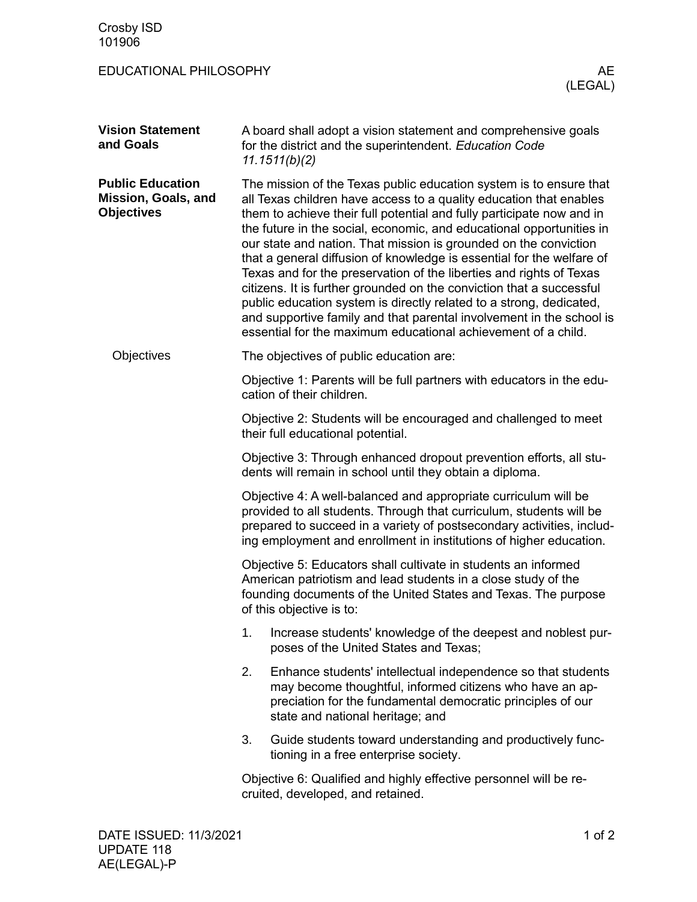| Crosby ISD<br>101906                                                |                                                                                                                                                                                                                                                                                                                                                                                                                                                                                                                                                                                                                                                                                                                                                                                                       |
|---------------------------------------------------------------------|-------------------------------------------------------------------------------------------------------------------------------------------------------------------------------------------------------------------------------------------------------------------------------------------------------------------------------------------------------------------------------------------------------------------------------------------------------------------------------------------------------------------------------------------------------------------------------------------------------------------------------------------------------------------------------------------------------------------------------------------------------------------------------------------------------|
| EDUCATIONAL PHILOSOPHY                                              | AE<br>(LEGAL)                                                                                                                                                                                                                                                                                                                                                                                                                                                                                                                                                                                                                                                                                                                                                                                         |
| <b>Vision Statement</b><br>and Goals                                | A board shall adopt a vision statement and comprehensive goals<br>for the district and the superintendent. Education Code<br>11.1511(b)(2)                                                                                                                                                                                                                                                                                                                                                                                                                                                                                                                                                                                                                                                            |
| <b>Public Education</b><br>Mission, Goals, and<br><b>Objectives</b> | The mission of the Texas public education system is to ensure that<br>all Texas children have access to a quality education that enables<br>them to achieve their full potential and fully participate now and in<br>the future in the social, economic, and educational opportunities in<br>our state and nation. That mission is grounded on the conviction<br>that a general diffusion of knowledge is essential for the welfare of<br>Texas and for the preservation of the liberties and rights of Texas<br>citizens. It is further grounded on the conviction that a successful<br>public education system is directly related to a strong, dedicated,<br>and supportive family and that parental involvement in the school is<br>essential for the maximum educational achievement of a child. |
| Objectives                                                          | The objectives of public education are:                                                                                                                                                                                                                                                                                                                                                                                                                                                                                                                                                                                                                                                                                                                                                               |
|                                                                     | Objective 1: Parents will be full partners with educators in the edu-<br>cation of their children.                                                                                                                                                                                                                                                                                                                                                                                                                                                                                                                                                                                                                                                                                                    |
|                                                                     | Objective 2: Students will be encouraged and challenged to meet<br>their full educational potential.                                                                                                                                                                                                                                                                                                                                                                                                                                                                                                                                                                                                                                                                                                  |
|                                                                     | Objective 3: Through enhanced dropout prevention efforts, all stu-<br>dents will remain in school until they obtain a diploma.                                                                                                                                                                                                                                                                                                                                                                                                                                                                                                                                                                                                                                                                        |
|                                                                     | Objective 4: A well-balanced and appropriate curriculum will be<br>provided to all students. Through that curriculum, students will be<br>prepared to succeed in a variety of postsecondary activities, includ-<br>ing employment and enrollment in institutions of higher education.                                                                                                                                                                                                                                                                                                                                                                                                                                                                                                                 |
|                                                                     | Objective 5: Educators shall cultivate in students an informed<br>American patriotism and lead students in a close study of the<br>founding documents of the United States and Texas. The purpose<br>of this objective is to:                                                                                                                                                                                                                                                                                                                                                                                                                                                                                                                                                                         |
|                                                                     | Increase students' knowledge of the deepest and noblest pur-<br>1.<br>poses of the United States and Texas;                                                                                                                                                                                                                                                                                                                                                                                                                                                                                                                                                                                                                                                                                           |
|                                                                     | 2.<br>Enhance students' intellectual independence so that students<br>may become thoughtful, informed citizens who have an ap-<br>preciation for the fundamental democratic principles of our<br>state and national heritage; and                                                                                                                                                                                                                                                                                                                                                                                                                                                                                                                                                                     |
|                                                                     | 3.<br>Guide students toward understanding and productively func-<br>tioning in a free enterprise society.                                                                                                                                                                                                                                                                                                                                                                                                                                                                                                                                                                                                                                                                                             |
|                                                                     | Objective 6: Qualified and highly effective personnel will be re-<br>cruited, developed, and retained.                                                                                                                                                                                                                                                                                                                                                                                                                                                                                                                                                                                                                                                                                                |